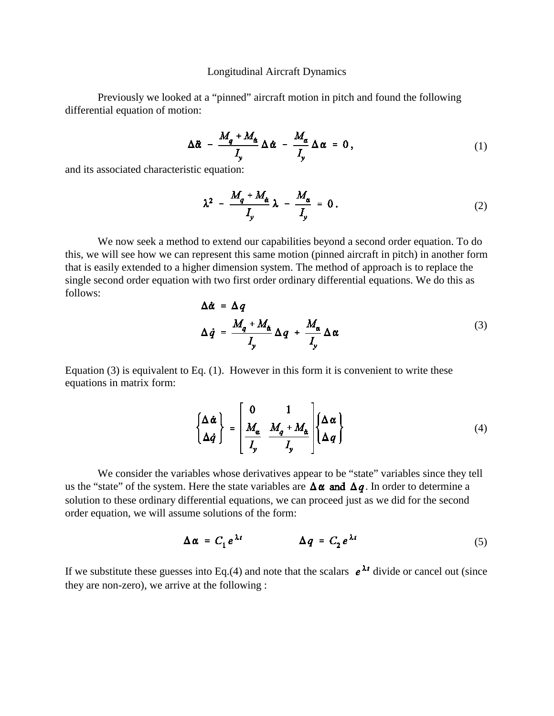#### Longitudinal Aircraft Dynamics

Previously we looked at a "pinned" aircraft motion in pitch and found the following differential equation of motion:

$$
\Delta \ddot{\alpha} - \frac{M_q + M_{\dot{\alpha}}}{I_y} \Delta \dot{\alpha} - \frac{M_{\alpha}}{I_y} \Delta \alpha = 0, \qquad (1)
$$

and its associated characteristic equation:

$$
\lambda^2 - \frac{M_q + M_{\alpha}}{I_y} \lambda - \frac{M_{\alpha}}{I_y} = 0.
$$
 (2)

We now seek a method to extend our capabilities beyond a second order equation. To do this, we will see how we can represent this same motion (pinned aircraft in pitch) in another form that is easily extended to a higher dimension system. The method of approach is to replace the single second order equation with two first order ordinary differential equations. We do this as follows:

$$
\Delta \dot{\alpha} = \Delta q
$$
  
\n
$$
\Delta \dot{q} = \frac{M_q + M_{\dot{\alpha}}}{I_y} \Delta q + \frac{M_{\alpha}}{I_y} \Delta \alpha
$$
\n(3)

Equation (3) is equivalent to Eq. (1). However in this form it is convenient to write these equations in matrix form:

$$
\begin{Bmatrix} \Delta \dot{\alpha} \\ \Delta \dot{q} \end{Bmatrix} = \begin{bmatrix} 0 & 1 \\ \frac{M_{\alpha}}{I_{y}} & \frac{M_{q} + M_{\alpha}}{I_{y}} \end{bmatrix} \begin{Bmatrix} \Delta \alpha \\ \Delta q \end{Bmatrix}
$$
 (4)

We consider the variables whose derivatives appear to be "state" variables since they tell us the "state" of the system. Here the state variables are  $\Delta \alpha$  and  $\Delta q$ . In order to determine a solution to these ordinary differential equations, we can proceed just as we did for the second order equation, we will assume solutions of the form:

$$
\Delta \alpha = C_1 e^{\lambda t} \qquad \Delta q = C_2 e^{\lambda t} \qquad (5)
$$

If we substitute these guesses into Eq.(4) and note that the scalars  $e^{\lambda t}$  divide or cancel out (since they are non-zero), we arrive at the following :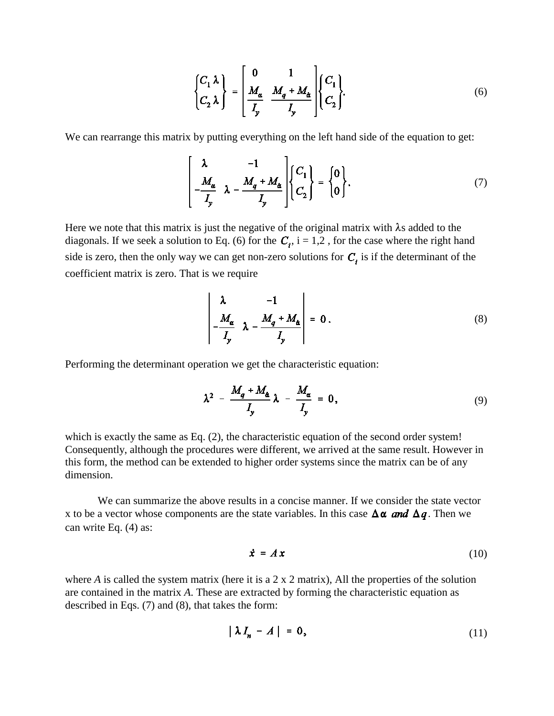$$
\begin{Bmatrix} C_1 \lambda \\ C_2 \lambda \end{Bmatrix} = \begin{bmatrix} 0 & 1 \\ \frac{M_{\alpha}}{I_y} & \frac{M_q + M_{\alpha}}{I_y} \end{bmatrix} \begin{Bmatrix} C_1 \\ C_2 \end{Bmatrix}.
$$
 (6)

We can rearrange this matrix by putting everything on the left hand side of the equation to get:

$$
\left[\begin{array}{cc} \lambda & -1 \\ -\frac{M_{\alpha}}{I_{y}} & \lambda - \frac{M_{q} + M_{\alpha}}{I_{y}} \end{array}\right] \left\{\begin{array}{c} C_{1} \\ C_{2} \end{array}\right\} = \left\{\begin{array}{c} 0 \\ 0 \end{array}\right\}.
$$
 (7)

Here we note that this matrix is just the negative of the original matrix with  $\lambda$ s added to the diagonals. If we seek a solution to Eq. (6) for the  $C_i$ , i = 1,2, for the case where the right hand side is zero, then the only way we can get non-zero solutions for  $C_i$ , is if the determinant of the coefficient matrix is zero. That is we require

$$
\begin{vmatrix} \lambda & -1 \\ -\frac{M_{\alpha}}{I_y} & \lambda - \frac{M_q + M_{\dot{\alpha}}}{I_y} \end{vmatrix} = 0.
$$
 (8)

Performing the determinant operation we get the characteristic equation:

$$
\lambda^2 - \frac{M_q + M_\alpha}{I_y} \lambda - \frac{M_\alpha}{I_y} = 0, \qquad (9)
$$

which is exactly the same as Eq. (2), the characteristic equation of the second order system! Consequently, although the procedures were different, we arrived at the same result. However in this form, the method can be extended to higher order systems since the matrix can be of any dimension.

We can summarize the above results in a concise manner. If we consider the state vector x to be a vector whose components are the state variables. In this case  $\Delta \alpha$  and  $\Delta q$ . Then we can write Eq. (4) as:

$$
\dot{\mathbf{x}} = A \mathbf{x} \tag{10}
$$

where *A* is called the system matrix (here it is a 2 x 2 matrix), All the properties of the solution are contained in the matrix *A*. These are extracted by forming the characteristic equation as described in Eqs. (7) and (8), that takes the form:

$$
|\lambda I_n - A| = 0, \tag{11}
$$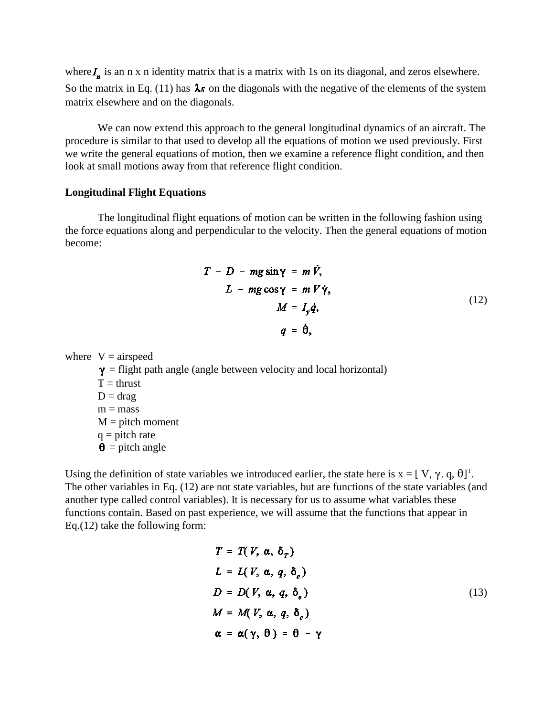where  $I_n$  is an n x n identity matrix that is a matrix with 1s on its diagonal, and zeros elsewhere. So the matrix in Eq. (11) has  $\lambda s$  on the diagonals with the negative of the elements of the system matrix elsewhere and on the diagonals.

We can now extend this approach to the general longitudinal dynamics of an aircraft. The procedure is similar to that used to develop all the equations of motion we used previously. First we write the general equations of motion, then we examine a reference flight condition, and then look at small motions away from that reference flight condition.

#### **Longitudinal Flight Equations**

The longitudinal flight equations of motion can be written in the following fashion using the force equations along and perpendicular to the velocity. Then the general equations of motion become:

$$
T - D - mg \sin \gamma = m \dot{V},
$$
  
\n
$$
L - mg \cos \gamma = m V \dot{\gamma},
$$
  
\n
$$
M = I_y \dot{q},
$$
  
\n
$$
q = \dot{\theta},
$$
\n(12)

where  $V = airspeed$ 

 $y =$  flight path angle (angle between velocity and local horizontal)  $T = thrust$  $D = drag$  $m = mass$  $M =$  pitch moment  $q =$  pitch rate  $\theta$  = pitch angle

Using the definition of state variables we introduced earlier, the state here is  $x = [V, \gamma, q, \theta]^T$ . The other variables in Eq. (12) are not state variables, but are functions of the state variables (and another type called control variables). It is necessary for us to assume what variables these functions contain. Based on past experience, we will assume that the functions that appear in Eq.(12) take the following form:

$$
T = T(V, \alpha, \delta_T)
$$
  
\n
$$
L = L(V, \alpha, q, \delta_e)
$$
  
\n
$$
D = D(V, \alpha, q, \delta_e)
$$
  
\n
$$
M = M(V, \alpha, q, \delta_e)
$$
  
\n
$$
\alpha = \alpha(\gamma, \theta) = \theta - \gamma
$$
\n(13)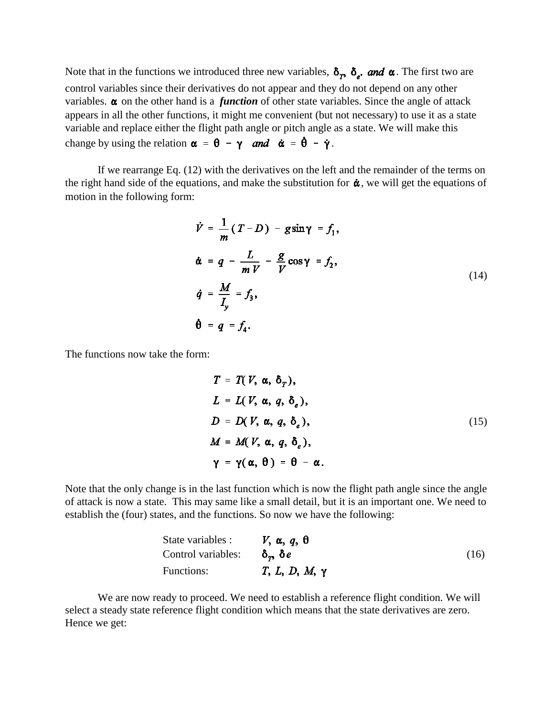Note that in the functions we introduced three new variables,  $\delta_p$ ,  $\delta_e$ , and  $\alpha$ . The first two are control variables since their derivatives do not appear and they do not depend on any other variables.  $\alpha$  on the other hand is a *function* of other state variables. Since the angle of attack appears in all the other functions, it might me convenient (but not necessary) to use it as a state variable and replace either the flight path angle or pitch angle as a state. We will make this change by using the relation  $\alpha = \theta - \gamma$  and  $\dot{\alpha} = \dot{\theta} - \dot{\gamma}$ .

If we rearrange Eq. (12) with the derivatives on the left and the remainder of the terms on the right hand side of the equations, and make the substitution for  $\dot{\alpha}$ , we will get the equations of motion in the following form:

$$
\dot{V} = \frac{1}{m} (T - D) - g \sin \gamma = f_1,
$$
\n
$$
\dot{\alpha} = q - \frac{L}{m V} - \frac{g}{V} \cos \gamma = f_2,
$$
\n
$$
\dot{q} = \frac{M}{I_y} = f_3,
$$
\n
$$
\dot{\theta} = q = f_4.
$$
\n(14)

The functions now take the form:

$$
T = T(V, \alpha, \delta_T),
$$
  
\n
$$
L = L(V, \alpha, q, \delta_e),
$$
  
\n
$$
D = D(V, \alpha, q, \delta_e),
$$
  
\n
$$
M = M(V, \alpha, q, \delta_e),
$$
  
\n
$$
\gamma = \gamma(\alpha, \theta) = \theta - \alpha.
$$
 (15)

Note that the only change is in the last function which is now the flight path angle since the angle of attack is now a state. This may same like a small detail, but it is an important one. We need to establish the (four) states, and the functions. So now we have the following:

| State variables : $V, \alpha, q, \theta$        |                      |      |
|-------------------------------------------------|----------------------|------|
| Control variables: $\delta_{\tau}$ , $\delta e$ |                      | (16) |
| Functions:                                      | $T, L, D, M, \gamma$ |      |

We are now ready to proceed. We need to establish a reference flight condition. We will select a steady state reference flight condition which means that the state derivatives are zero. Hence we get: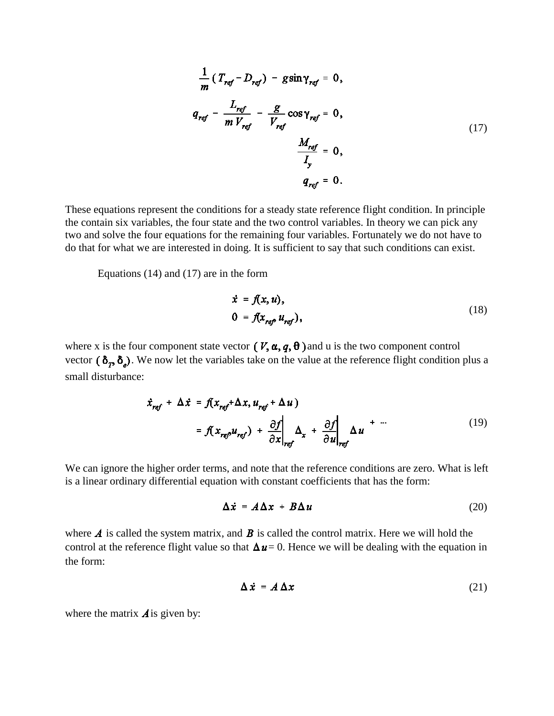$$
\frac{1}{m} (T_{ref} - D_{ref}) - g \sin \gamma_{ref} = 0,
$$
\n
$$
q_{ref} - \frac{L_{ref}}{m V_{ref}} - \frac{g}{V_{ref}} \cos \gamma_{ref} = 0,
$$
\n
$$
\frac{M_{ref}}{I_y} = 0,
$$
\n
$$
q_{ref} = 0.
$$
\n(17)

These equations represent the conditions for a steady state reference flight condition. In principle the contain six variables, the four state and the two control variables. In theory we can pick any two and solve the four equations for the remaining four variables. Fortunately we do not have to do that for what we are interested in doing. It is sufficient to say that such conditions can exist.

Equations (14) and (17) are in the form

$$
\dot{x} = f(x, u),
$$
  
\n
$$
0 = f(x_{ref} u_{ref}),
$$
\n(18)

where x is the four component state vector  $(V, \alpha, q, \theta)$  and u is the two component control vector  $(\delta_p, \delta_e)$ . We now let the variables take on the value at the reference flight condition plus a small disturbance:

$$
\dot{x}_{ref} + \Delta \dot{x} = f(x_{ref} + \Delta x, u_{ref} + \Delta u)
$$
  
=  $f(x_{ref}u_{ref}) + \frac{\partial f}{\partial x}\bigg|_{ref} \Delta_x + \frac{\partial f}{\partial u}\bigg|_{ref} \Delta u + \cdots$  (19)

We can ignore the higher order terms, and note that the reference conditions are zero. What is left is a linear ordinary differential equation with constant coefficients that has the form:

$$
\Delta \dot{x} = A \Delta x + B \Delta u \tag{20}
$$

where  $\vec{A}$  is called the system matrix, and  $\vec{B}$  is called the control matrix. Here we will hold the control at the reference flight value so that  $\Delta u = 0$ . Hence we will be dealing with the equation in the form:

$$
\Delta \dot{x} = A \Delta x \tag{21}
$$

where the matrix  $\vec{A}$  is given by: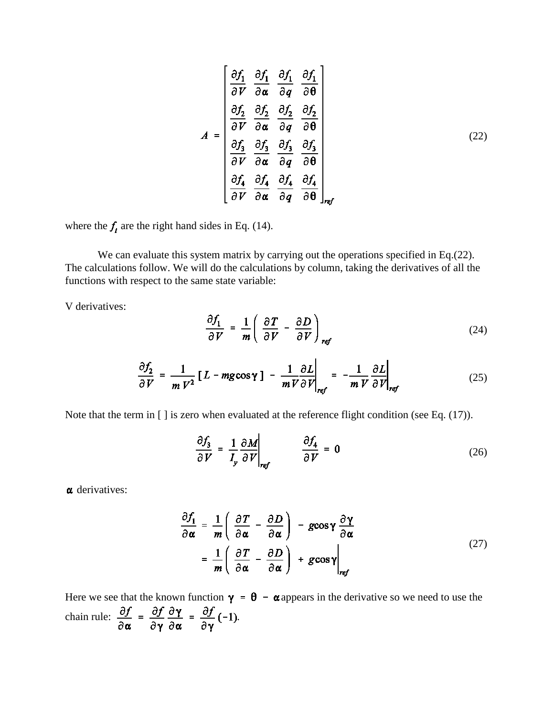$$
A = \begin{bmatrix} \frac{\partial f_1}{\partial V} & \frac{\partial f_1}{\partial \alpha} & \frac{\partial f_1}{\partial q} & \frac{\partial f_1}{\partial \theta} \\ \frac{\partial f_2}{\partial V} & \frac{\partial f_2}{\partial \alpha} & \frac{\partial f_2}{\partial q} & \frac{\partial f_2}{\partial \theta} \\ \frac{\partial f_3}{\partial V} & \frac{\partial f_3}{\partial \alpha} & \frac{\partial f_3}{\partial q} & \frac{\partial f_3}{\partial \theta} \\ \frac{\partial f_4}{\partial V} & \frac{\partial f_4}{\partial \alpha} & \frac{\partial f_4}{\partial q} & \frac{\partial f_4}{\partial \theta} \end{bmatrix}_{ref} \tag{22}
$$

where the  $f_i$  are the right hand sides in Eq. (14).

We can evaluate this system matrix by carrying out the operations specified in Eq.(22). The calculations follow. We will do the calculations by column, taking the derivatives of all the functions with respect to the same state variable:

V derivatives:

$$
\frac{\partial f_1}{\partial V} = \frac{1}{m} \left( \frac{\partial T}{\partial V} - \frac{\partial D}{\partial V} \right)_{ref}
$$
(24)

$$
\frac{\partial f_2}{\partial V} = \frac{1}{m V^2} \left[ L - mg \cos \gamma \right] - \frac{1}{m V} \frac{\partial L}{\partial V} \bigg|_{ref} = -\frac{1}{m V} \frac{\partial L}{\partial V} \bigg|_{ref}
$$
(25)

Note that the term in [ ] is zero when evaluated at the reference flight condition (see Eq. (17)).

$$
\frac{\partial f_3}{\partial V} = \frac{1}{I_y} \frac{\partial M}{\partial V}\Big|_{ref} \qquad \frac{\partial f_4}{\partial V} = 0 \tag{26}
$$

 $\alpha$  derivatives:

$$
\frac{\partial f_1}{\partial \alpha} = \frac{1}{m} \left( \frac{\partial T}{\partial \alpha} - \frac{\partial D}{\partial \alpha} \right) - g \cos \gamma \frac{\partial \gamma}{\partial \alpha} \n= \frac{1}{m} \left( \frac{\partial T}{\partial \alpha} - \frac{\partial D}{\partial \alpha} \right) + g \cos \gamma \Big|_{ref}
$$
\n(27)

Here we see that the known function  $\gamma = \theta - \alpha$  appears in the derivative so we need to use the chain rule:  $\frac{\partial f}{\partial \alpha} = \frac{\partial f}{\partial \gamma} \frac{\partial \gamma}{\partial \alpha} = \frac{\partial f}{\partial \gamma} (-1)$ .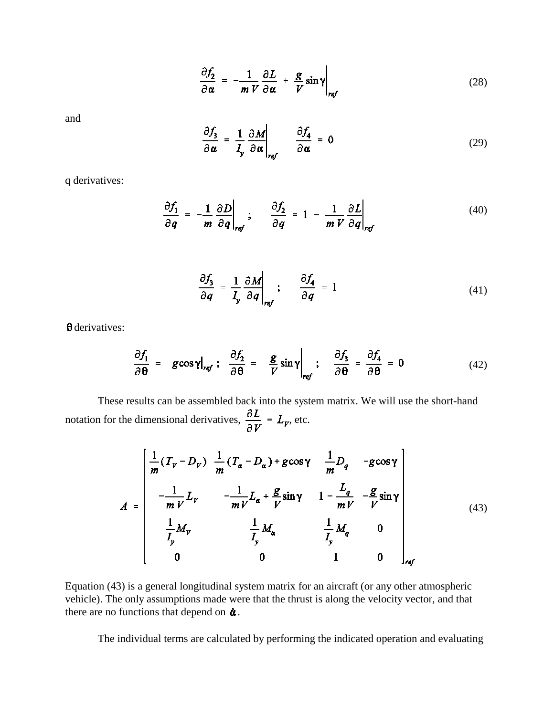$$
\frac{\partial f_2}{\partial \alpha} = -\frac{1}{m V} \frac{\partial L}{\partial \alpha} + \frac{g}{V} \sin \gamma \bigg|_{ref}
$$
(28)

and

$$
\frac{\partial f_3}{\partial \alpha} = \frac{1}{I_y} \frac{\partial M}{\partial \alpha}\bigg|_{ref} \qquad \frac{\partial f_4}{\partial \alpha} = 0 \tag{29}
$$

q derivatives:

$$
\frac{\partial f_1}{\partial q} = -\frac{1}{m} \frac{\partial D}{\partial q}\Big|_{ref}; \qquad \frac{\partial f_2}{\partial q} = 1 - \frac{1}{m V} \frac{\partial L}{\partial q}\Big|_{ref}
$$
(40)

$$
\frac{\partial f_3}{\partial q} = \frac{1}{I_y} \frac{\partial M}{\partial q} \bigg|_{ref}; \qquad \frac{\partial f_4}{\partial q} = 1 \tag{41}
$$

 $\theta$  derivatives:

$$
\frac{\partial f_1}{\partial \theta} = -g \cos \gamma \big|_{\text{ref}}; \quad \frac{\partial f_2}{\partial \theta} = -\frac{g}{V} \sin \gamma \big|_{\text{ref}}; \quad \frac{\partial f_3}{\partial \theta} = \frac{\partial f_4}{\partial \theta} = 0 \tag{42}
$$

These results can be assembled back into the system matrix. We will use the short-hand notation for the dimensional derivatives,  $\frac{\partial L}{\partial V} = L_{\gamma}$ , etc.

$$
A = \begin{bmatrix} \frac{1}{m}(T_V - D_V) & \frac{1}{m}(T_\alpha - D_\alpha) + g\cos\gamma & \frac{1}{m}D_q & -g\cos\gamma \\ -\frac{1}{mV}L_V & -\frac{1}{mV}L_\alpha + \frac{g}{V}\sin\gamma & 1 - \frac{L_q}{mV} & -\frac{g}{V}\sin\gamma \\ \frac{1}{L_y}M_V & \frac{1}{L_y}M_\alpha & \frac{1}{L_y}M_q & 0 \\ 0 & 0 & 1 & 0 \end{bmatrix}_{ref}
$$
(43)

Equation (43) is a general longitudinal system matrix for an aircraft (or any other atmospheric vehicle). The only assumptions made were that the thrust is along the velocity vector, and that there are no functions that depend on  $\dot{\alpha}$ .

The individual terms are calculated by performing the indicated operation and evaluating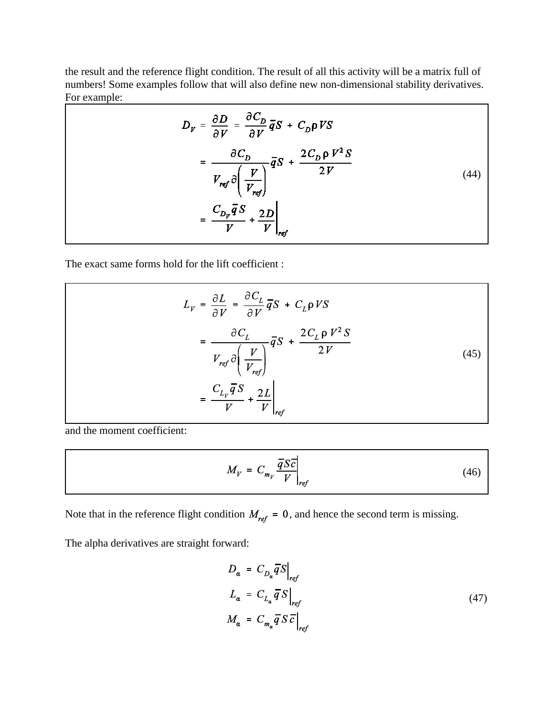the result and the reference flight condition. The result of all this activity will be a matrix full of numbers! Some examples follow that will also define new non-dimensional stability derivatives. For example:

| $D_V = \frac{\partial D}{\partial V} = \frac{\partial C_D}{\partial V} \overline{q} S + C_D \rho V S$               |  |
|---------------------------------------------------------------------------------------------------------------------|--|
| $= \frac{\partial C_D}{V_{ref} \partial \left(\frac{V}{V_{ref}}\right)} \overline{q}S + \frac{2C_D \rho V^2 S}{2V}$ |  |
| $= \frac{C_{D_v}\overline{q}S}{V} + \frac{2D}{V}$                                                                   |  |

The exact same forms hold for the lift coefficient :

$$
L_{V} = \frac{\partial L}{\partial V} = \frac{\partial C_{L}}{\partial V} \overline{q} S + C_{L} \rho V S
$$
  

$$
= \frac{\partial C_{L}}{V_{ref} \partial \left(\frac{V}{V_{ref}}\right)} \overline{q} S + \frac{2C_{L} \rho V^{2} S}{2V}
$$
  

$$
= \frac{C_{L_{V}} \overline{q} S}{V} + \frac{2L}{V}\Big|_{ref}
$$
 (45)

and the moment coefficient:

$$
M_V = C_{m_V} \frac{\overline{q} S \overline{c}}{V} \bigg|_{ref} \tag{46}
$$

Note that in the reference flight condition  $M_{ref} = 0$ , and hence the second term is missing.

The alpha derivatives are straight forward:

$$
D_{\alpha} = C_{D_{\alpha}} \overline{q} S \Big|_{ref}
$$
  
\n
$$
L_{\alpha} = C_{L_{\alpha}} \overline{q} S \Big|_{ref}
$$
  
\n
$$
M_{\alpha} = C_{m_{\alpha}} \overline{q} S \overline{c} \Big|_{ref}
$$
\n(47)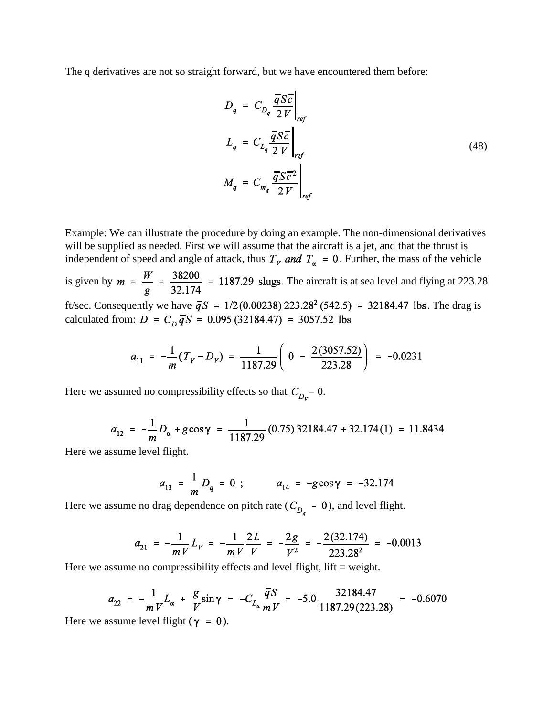The q derivatives are not so straight forward, but we have encountered them before:

$$
D_q = C_{D_q} \frac{\overline{q} S \overline{c}}{2 V} \Big|_{ref}
$$
  
\n
$$
L_q = C_{L_q} \frac{\overline{q} S \overline{c}}{2 V} \Big|_{ref}
$$
  
\n
$$
M_q = C_{m_q} \frac{\overline{q} S \overline{c}^2}{2 V} \Big|_{ref}
$$
  
\n(48)

Example: We can illustrate the procedure by doing an example. The non-dimensional derivatives will be supplied as needed. First we will assume that the aircraft is a jet, and that the thrust is independent of speed and angle of attack, thus  $T_y$  and  $T_\alpha = 0$ . Further, the mass of the vehicle

is given by  $m = \frac{W}{g} = \frac{38200}{32.174} = 1187.29$  slugs. The aircraft is at sea level and flying at 223.28 ft/sec. Consequently we have  $\bar{q}S = 1/2(0.00238) 223.28^2 (542.5) = 32184.47$  lbs. The drag is calculated from:  $D = C_D \overline{q}S = 0.095 (32184.47) = 3057.52$  lbs

$$
a_{11} = -\frac{1}{m}(T_V - D_V) = \frac{1}{1187.29} \left( 0 - \frac{2(3057.52)}{223.28} \right) = -0.0231
$$

Here we assumed no compressibility effects so that  $C_{D_y} = 0$ .

$$
a_{12} = -\frac{1}{m}D_{\alpha} + g\cos\gamma = \frac{1}{1187.29}(0.75)32184.47 + 32.174(1) = 11.8434
$$

Here we assume level flight.

$$
a_{13} = \frac{1}{m} D_q = 0 ; \qquad a_{14} = -g \cos \gamma = -32.174
$$

Here we assume no drag dependence on pitch rate ( $C_{D_q} = 0$ ), and level flight.

$$
a_{21} = -\frac{1}{mV}L_V = -\frac{1}{mV}\frac{2L}{V} = -\frac{2g}{V^2} = -\frac{2(32.174)}{223.28^2} = -0.0013
$$

Here we assume no compressibility effects and level flight, lift  $=$  weight.

$$
a_{22} = -\frac{1}{mV}L_{\alpha} + \frac{g}{V}\sin\gamma = -C_{L_{\alpha}}\frac{\overline{q}S}{mV} = -5.0\frac{32184.47}{1187.29(223.28)} = -0.6070
$$

Here we assume level flight ( $\gamma = 0$ ).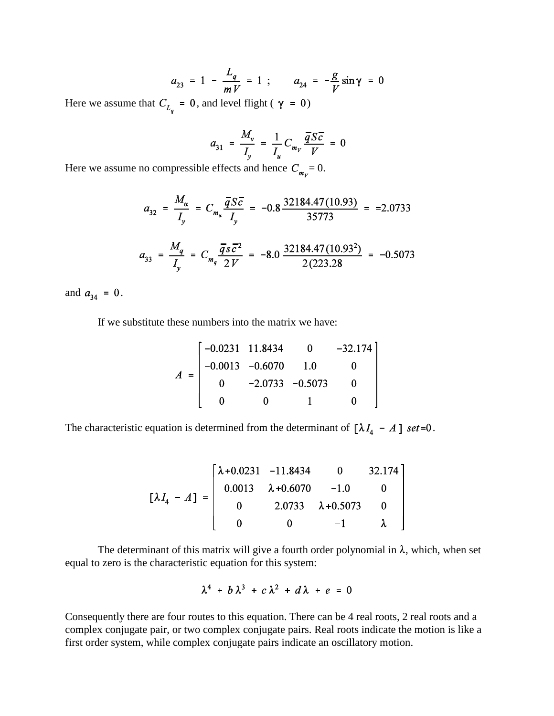$$
a_{23} = 1 - \frac{L_q}{mV} = 1
$$
;  $a_{24} = -\frac{g}{V}\sin\gamma = 0$ 

Here we assume that  $C_{L_q} = 0$ , and level flight ( $\gamma = 0$ )

$$
a_{31} = \frac{M_{\nu}}{I_{\nu}} = \frac{1}{I_{u}} C_{m_{\nu}} \frac{\overline{q} S \overline{c}}{V} = 0
$$

Here we assume no compressible effects and hence  $C_{m_y} = 0$ .

$$
a_{32} = \frac{M_{\alpha}}{I_{y}} = C_{m_{\alpha}} \frac{\overline{q} S \overline{c}}{I_{y}} = -0.8 \frac{32184.47(10.93)}{35773} = -2.0733
$$
  

$$
a_{33} = \frac{M_{q}}{I_{y}} = C_{m_{q}} \frac{\overline{q} S \overline{c}^{2}}{2 V} = -8.0 \frac{32184.47(10.93^{2})}{2(223.28)} = -0.5073
$$

and  $a_{34} = 0$ .

If we substitute these numbers into the matrix we have:

$$
A = \begin{bmatrix} -0.0231 & 11.8434 & 0 & -32.174 \\ -0.0013 & -0.6070 & 1.0 & 0 \\ 0 & -2.0733 & -0.5073 & 0 \\ 0 & 0 & 1 & 0 \end{bmatrix}
$$

The characteristic equation is determined from the determinant of  $[\lambda I_4 - A]$  set=0.

$$
\begin{bmatrix} \lambda I_4 - A \end{bmatrix} = \begin{bmatrix} \lambda + 0.0231 & -11.8434 & 0 & 32.174 \\ 0.0013 & \lambda + 0.6070 & -1.0 & 0 \\ 0 & 2.0733 & \lambda + 0.5073 & 0 \\ 0 & 0 & -1 & \lambda \end{bmatrix}
$$

The determinant of this matrix will give a fourth order polynomial in  $\lambda$ , which, when set equal to zero is the characteristic equation for this system:

$$
\lambda^4 + b\,\lambda^3 + c\,\lambda^2 + d\,\lambda + e = 0
$$

Consequently there are four routes to this equation. There can be 4 real roots, 2 real roots and a complex conjugate pair, or two complex conjugate pairs. Real roots indicate the motion is like a first order system, while complex conjugate pairs indicate an oscillatory motion.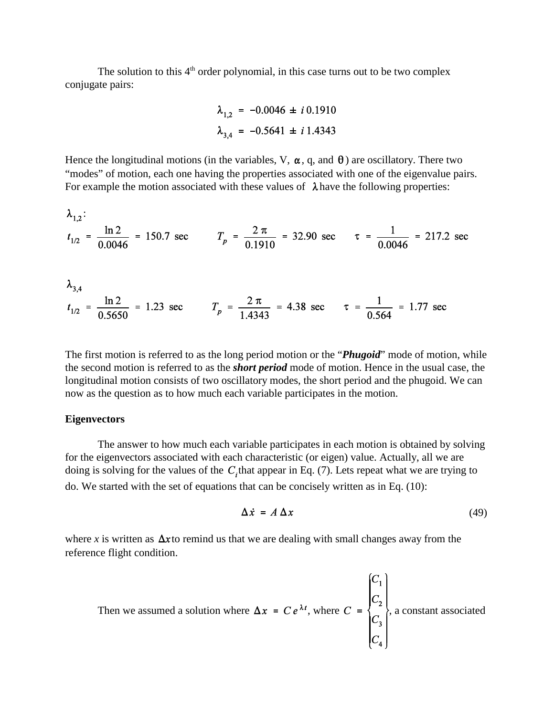The solution to this  $4<sup>th</sup>$  order polynomial, in this case turns out to be two complex conjugate pairs:

$$
\lambda_{1,2} = -0.0046 \pm i \, 0.1910
$$
\n
$$
\lambda_{3,4} = -0.5641 \pm i \, 1.4343
$$

Hence the longitudinal motions (in the variables, V,  $\alpha$ , q, and  $\theta$ ) are oscillatory. There two "modes" of motion, each one having the properties associated with one of the eigenvalue pairs. For example the motion associated with these values of  $\lambda$  have the following properties:

$$
\lambda_{1,2}:
$$
\n
$$
t_{1/2} = \frac{\ln 2}{0.0046} = 150.7 \text{ sec}
$$
\n
$$
T_p = \frac{2 \pi}{0.1910} = 32.90 \text{ sec}
$$
\n
$$
\tau = \frac{1}{0.0046} = 217.2 \text{ sec}
$$

$$
\lambda_{3,4}
$$
\n
$$
t_{1/2} = \frac{\ln 2}{0.5650} = 1.23 \text{ sec}
$$
\n
$$
T_p = \frac{2 \pi}{1.4343} = 4.38 \text{ sec}
$$
\n
$$
\tau = \frac{1}{0.564} = 1.77 \text{ sec}
$$

The first motion is referred to as the long period motion or the "*Phugoid*" mode of motion, while the second motion is referred to as the *short period* mode of motion. Hence in the usual case, the longitudinal motion consists of two oscillatory modes, the short period and the phugoid. We can now as the question as to how much each variable participates in the motion.

#### **Eigenvectors**

The answer to how much each variable participates in each motion is obtained by solving for the eigenvectors associated with each characteristic (or eigen) value. Actually, all we are doing is solving for the values of the  $C<sub>i</sub>$ that appear in Eq. (7). Lets repeat what we are trying to do. We started with the set of equations that can be concisely written as in Eq. (10):

$$
\Delta \dot{x} = A \Delta x \tag{49}
$$

where *x* is written as  $\Delta x$  to remind us that we are dealing with small changes away from the reference flight condition.

Then we assumed a solution where 
$$
\Delta x = Ce^{\lambda t}
$$
, where  $C = \begin{pmatrix} C_1 \\ C_2 \\ C_3 \\ C_4 \end{pmatrix}$ , a constant associated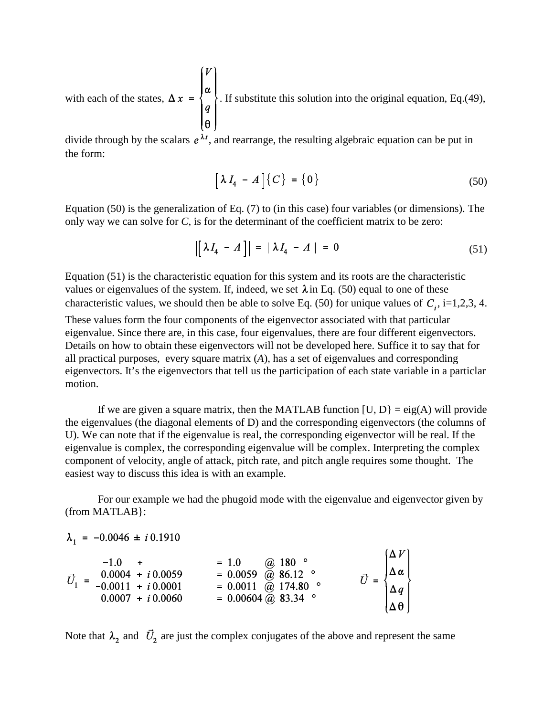with each of the states, 
$$
\Delta x = \begin{bmatrix} V \\ \alpha \\ q \\ \theta \end{bmatrix}
$$
. If substitute this solution into the original equation, Eq.(49),

divide through by the scalars  $e^{\lambda t}$ , and rearrange, the resulting algebraic equation can be put in the form:

$$
\left[\lambda I_4 - A\right] \left\{C\right\} = \left\{0\right\} \tag{50}
$$

Equation (50) is the generalization of Eq. (7) to (in this case) four variables (or dimensions). The only way we can solve for *C*, is for the determinant of the coefficient matrix to be zero:

$$
\left| \left[ \lambda I_4 - A \right] \right| = \left| \lambda I_4 - A \right| = 0 \tag{51}
$$

Equation (51) is the characteristic equation for this system and its roots are the characteristic values or eigenvalues of the system. If, indeed, we set  $\lambda$  in Eq. (50) equal to one of these characteristic values, we should then be able to solve Eq. (50) for unique values of  $C_i$ , i=1,2,3, 4.

These values form the four components of the eigenvector associated with that particular eigenvalue. Since there are, in this case, four eigenvalues, there are four different eigenvectors. Details on how to obtain these eigenvectors will not be developed here. Suffice it to say that for all practical purposes, every square matrix (*A*), has a set of eigenvalues and corresponding eigenvectors. It's the eigenvectors that tell us the participation of each state variable in a particlar motion.

If we are given a square matrix, then the MATLAB function  $[U, D] = eig(A)$  will provide the eigenvalues (the diagonal elements of D) and the corresponding eigenvectors (the columns of U). We can note that if the eigenvalue is real, the corresponding eigenvector will be real. If the eigenvalue is complex, the corresponding eigenvalue will be complex. Interpreting the complex component of velocity, angle of attack, pitch rate, and pitch angle requires some thought. The easiest way to discuss this idea is with an example.

For our example we had the phugoid mode with the eigenvalue and eigenvector given by (from MATLAB}:

Note that  $\lambda_2$  and  $\vec{U}_2$  are just the complex conjugates of the above and represent the same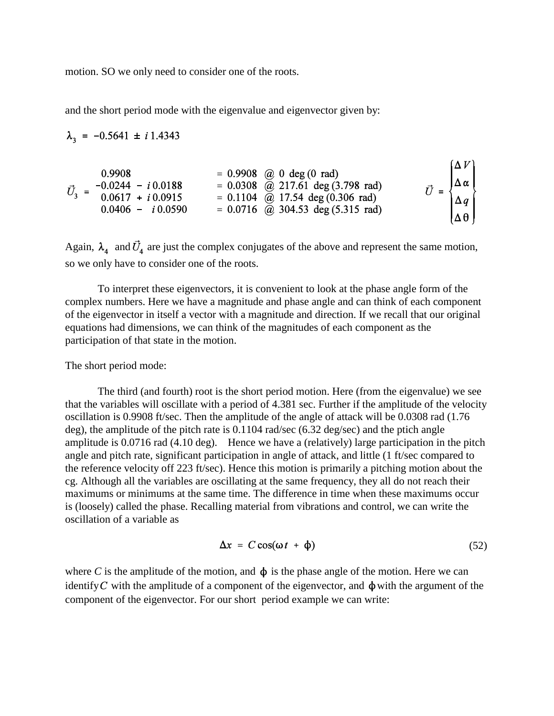motion. SO we only need to consider one of the roots.

and the short period mode with the eigenvalue and eigenvector given by:

$$
\lambda_3 = -0.5641 \pm i 1.4343
$$
\n
$$
\vec{U}_3 = \begin{bmatrix}\n0.9908 & = & 0.9908 & \textcircled{0} & \textcircled{0} & \textcircled{0} & \textcircled{0} \\
-0.0244 & -i 0.0188 & = & 0.0308 & \textcircled{0} & 217.61 & \text{deg}(3.798 \text{ rad}) \\
0.0617 & + i 0.0915 & = & 0.1104 & \textcircled{0} & 17.54 & \text{deg}(0.306 \text{ rad}) \\
0.0406 & -i 0.0590 & = & 0.0716 & \textcircled{0} & 304.53 & \text{deg}(5.315 \text{ rad})\n\end{bmatrix}\n\begin{bmatrix}\n\Delta V \\
\Delta \alpha \\
\Delta q \\
\Delta q \\
\Delta \theta\n\end{bmatrix}
$$

Again,  $\lambda_4$  and  $\vec{U}_4$  are just the complex conjugates of the above and represent the same motion, so we only have to consider one of the roots.

To interpret these eigenvectors, it is convenient to look at the phase angle form of the complex numbers. Here we have a magnitude and phase angle and can think of each component of the eigenvector in itself a vector with a magnitude and direction. If we recall that our original equations had dimensions, we can think of the magnitudes of each component as the participation of that state in the motion.

The short period mode:

The third (and fourth) root is the short period motion. Here (from the eigenvalue) we see that the variables will oscillate with a period of 4.381 sec. Further if the amplitude of the velocity oscillation is 0.9908 ft/sec. Then the amplitude of the angle of attack will be 0.0308 rad (1.76 deg), the amplitude of the pitch rate is 0.1104 rad/sec (6.32 deg/sec) and the ptich angle amplitude is 0.0716 rad (4.10 deg). Hence we have a (relatively) large participation in the pitch angle and pitch rate, significant participation in angle of attack, and little (1 ft/sec compared to the reference velocity off 223 ft/sec). Hence this motion is primarily a pitching motion about the cg. Although all the variables are oscillating at the same frequency, they all do not reach their maximums or minimums at the same time. The difference in time when these maximums occur is (loosely) called the phase. Recalling material from vibrations and control, we can write the oscillation of a variable as

$$
\Delta x = C \cos(\omega t + \phi) \tag{52}
$$

where *C* is the amplitude of the motion, and  $\phi$  is the phase angle of the motion. Here we can identify C with the amplitude of a component of the eigenvector, and  $\phi$  with the argument of the component of the eigenvector. For our short period example we can write: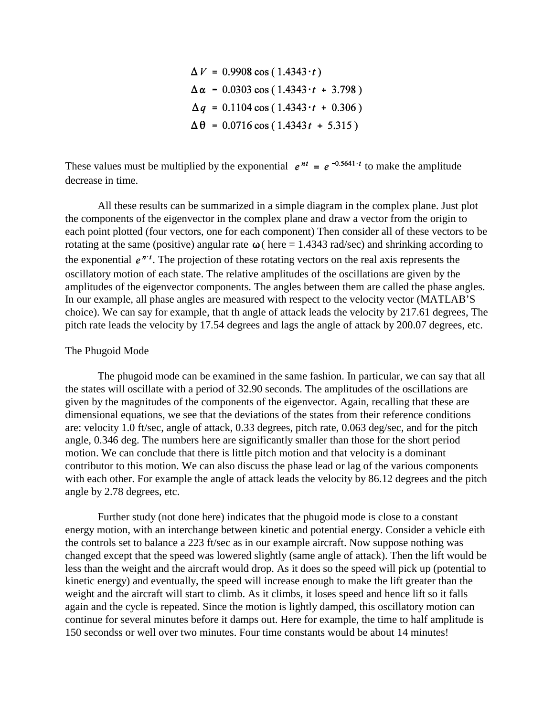$\Delta V = 0.9908 \cos (1.4343 \cdot t)$  $\Delta \alpha = 0.0303 \cos (1.4343 \cdot t + 3.798)$  $\Delta q = 0.1104 \cos (1.4343 \cdot t + 0.306)$  $\Delta \theta = 0.0716 \cos (1.4343t + 5.315)$ 

These values must be multiplied by the exponential  $e^{nt} = e^{-0.5641 \cdot t}$  to make the amplitude decrease in time.

All these results can be summarized in a simple diagram in the complex plane. Just plot the components of the eigenvector in the complex plane and draw a vector from the origin to each point plotted (four vectors, one for each component) Then consider all of these vectors to be rotating at the same (positive) angular rate  $\omega$  (here = 1.4343 rad/sec) and shrinking according to the exponential  $e^{i\pi t}$ . The projection of these rotating vectors on the real axis represents the oscillatory motion of each state. The relative amplitudes of the oscillations are given by the amplitudes of the eigenvector components. The angles between them are called the phase angles. In our example, all phase angles are measured with respect to the velocity vector (MATLAB'S choice). We can say for example, that th angle of attack leads the velocity by 217.61 degrees, The pitch rate leads the velocity by 17.54 degrees and lags the angle of attack by 200.07 degrees, etc.

#### The Phugoid Mode

The phugoid mode can be examined in the same fashion. In particular, we can say that all the states will oscillate with a period of 32.90 seconds. The amplitudes of the oscillations are given by the magnitudes of the components of the eigenvector. Again, recalling that these are dimensional equations, we see that the deviations of the states from their reference conditions are: velocity 1.0 ft/sec, angle of attack, 0.33 degrees, pitch rate, 0.063 deg/sec, and for the pitch angle, 0.346 deg. The numbers here are significantly smaller than those for the short period motion. We can conclude that there is little pitch motion and that velocity is a dominant contributor to this motion. We can also discuss the phase lead or lag of the various components with each other. For example the angle of attack leads the velocity by 86.12 degrees and the pitch angle by 2.78 degrees, etc.

Further study (not done here) indicates that the phugoid mode is close to a constant energy motion, with an interchange between kinetic and potential energy. Consider a vehicle eith the controls set to balance a 223 ft/sec as in our example aircraft. Now suppose nothing was changed except that the speed was lowered slightly (same angle of attack). Then the lift would be less than the weight and the aircraft would drop. As it does so the speed will pick up (potential to kinetic energy) and eventually, the speed will increase enough to make the lift greater than the weight and the aircraft will start to climb. As it climbs, it loses speed and hence lift so it falls again and the cycle is repeated. Since the motion is lightly damped, this oscillatory motion can continue for several minutes before it damps out. Here for example, the time to half amplitude is 150 secondss or well over two minutes. Four time constants would be about 14 minutes!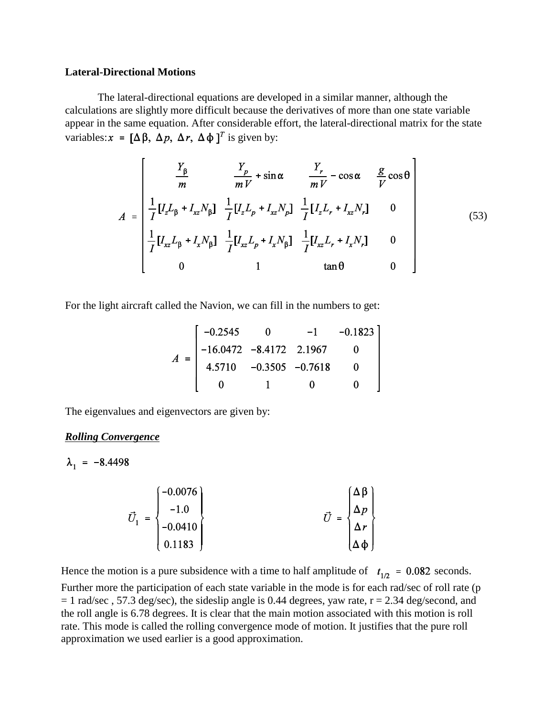### **Lateral-Directional Motions**

The lateral-directional equations are developed in a similar manner, although the calculations are slightly more difficult because the derivatives of more than one state variable appear in the same equation. After considerable effort, the lateral-directional matrix for the state variables:  $x = [\Delta \beta, \Delta p, \Delta r, \Delta \phi]^T$  is given by:

$$
A = \begin{bmatrix} \frac{Y_{\beta}}{m} & \frac{Y_{p}}{mV} + \sin \alpha & \frac{Y_{r}}{mV} - \cos \alpha & \frac{g}{V} \cos \theta \\ \frac{1}{I} [I_{z}L_{\beta} + I_{xz}N_{\beta}] & \frac{1}{I} [I_{z}L_{p} + I_{xz}N_{p}] & \frac{1}{I} [I_{z}L_{r} + I_{xz}N_{r}] & 0 \\ \frac{1}{I} [I_{xz}L_{\beta} + I_{x}N_{\beta}] & \frac{1}{I} [I_{xz}L_{p} + I_{x}N_{\beta}] & \frac{1}{I} [I_{xz}L_{r} + I_{x}N_{r}] & 0 \\ 0 & 1 & \tan \theta & 0 \end{bmatrix}
$$
(53)

For the light aircraft called the Navion, we can fill in the numbers to get:

$$
A = \begin{bmatrix} -0.2545 & 0 & -1 & -0.1823 \\ -16.0472 & -8.4172 & 2.1967 & 0 \\ 4.5710 & -0.3505 & -0.7618 & 0 \\ 0 & 1 & 0 & 0 \end{bmatrix}
$$

The eigenvalues and eigenvectors are given by:

# *Rolling Convergence*

$$
\lambda_1 = -8.4498
$$

$$
\vec{U}_1 = \begin{bmatrix} -0.0076 \\ -1.0 \\ -0.0410 \\ 0.1183 \end{bmatrix} \qquad \qquad \vec{U} = \begin{bmatrix} \Delta \beta \\ \Delta p \\ \Delta r \\ \Delta \phi \end{bmatrix}
$$

Hence the motion is a pure subsidence with a time to half amplitude of  $t_{1p} = 0.082$  seconds. Further more the participation of each state variable in the mode is for each rad/sec of roll rate (p  $= 1$  rad/sec, 57.3 deg/sec), the sideslip angle is 0.44 degrees, yaw rate,  $r = 2.34$  deg/second, and the roll angle is 6.78 degrees. It is clear that the main motion associated with this motion is roll rate. This mode is called the rolling convergence mode of motion. It justifies that the pure roll approximation we used earlier is a good approximation.